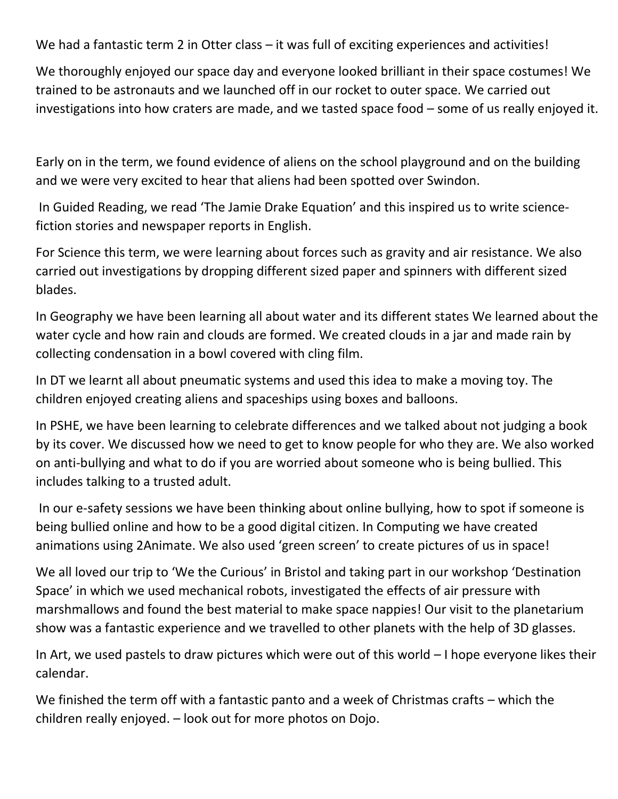We had a fantastic term 2 in Otter class – it was full of exciting experiences and activities!

We thoroughly enjoyed our space day and everyone looked brilliant in their space costumes! We trained to be astronauts and we launched off in our rocket to outer space. We carried out investigations into how craters are made, and we tasted space food – some of us really enjoyed it.

Early on in the term, we found evidence of aliens on the school playground and on the building and we were very excited to hear that aliens had been spotted over Swindon.

In Guided Reading, we read 'The Jamie Drake Equation' and this inspired us to write sciencefiction stories and newspaper reports in English.

For Science this term, we were learning about forces such as gravity and air resistance. We also carried out investigations by dropping different sized paper and spinners with different sized blades.

In Geography we have been learning all about water and its different states We learned about the water cycle and how rain and clouds are formed. We created clouds in a jar and made rain by collecting condensation in a bowl covered with cling film.

In DT we learnt all about pneumatic systems and used this idea to make a moving toy. The children enjoyed creating aliens and spaceships using boxes and balloons.

In PSHE, we have been learning to celebrate differences and we talked about not judging a book by its cover. We discussed how we need to get to know people for who they are. We also worked on anti-bullying and what to do if you are worried about someone who is being bullied. This includes talking to a trusted adult.

In our e-safety sessions we have been thinking about online bullying, how to spot if someone is being bullied online and how to be a good digital citizen. In Computing we have created animations using 2Animate. We also used 'green screen' to create pictures of us in space!

We all loved our trip to 'We the Curious' in Bristol and taking part in our workshop 'Destination Space' in which we used mechanical robots, investigated the effects of air pressure with marshmallows and found the best material to make space nappies! Our visit to the planetarium show was a fantastic experience and we travelled to other planets with the help of 3D glasses.

In Art, we used pastels to draw pictures which were out of this world – I hope everyone likes their calendar.

We finished the term off with a fantastic panto and a week of Christmas crafts – which the children really enjoyed. – look out for more photos on Dojo.